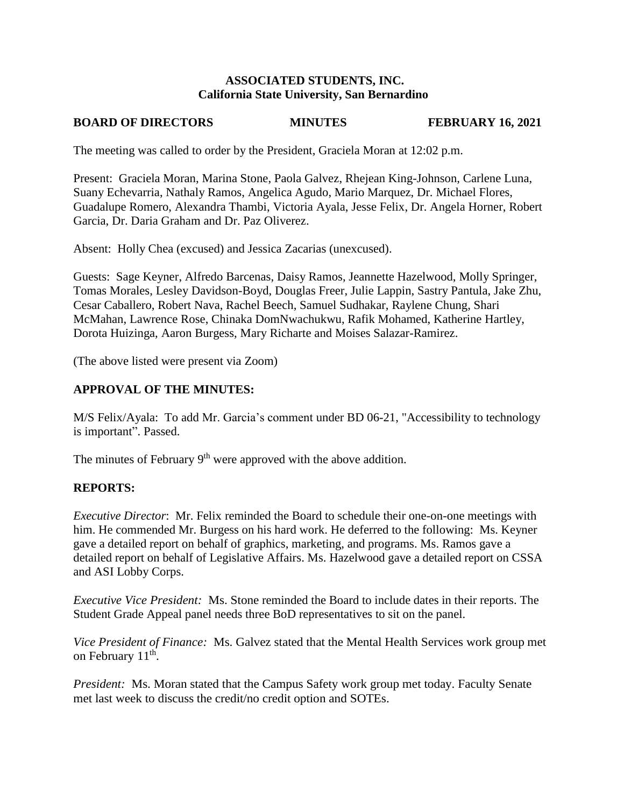### **ASSOCIATED STUDENTS, INC. California State University, San Bernardino**

# **BOARD OF DIRECTORS MINUTES FEBRUARY 16, 2021**

The meeting was called to order by the President, Graciela Moran at 12:02 p.m.

Present: Graciela Moran, Marina Stone, Paola Galvez, Rhejean King-Johnson, Carlene Luna, Suany Echevarria, Nathaly Ramos, Angelica Agudo, Mario Marquez, Dr. Michael Flores, Guadalupe Romero, Alexandra Thambi, Victoria Ayala, Jesse Felix, Dr. Angela Horner, Robert Garcia, Dr. Daria Graham and Dr. Paz Oliverez.

Absent: Holly Chea (excused) and Jessica Zacarias (unexcused).

Guests: Sage Keyner, Alfredo Barcenas, Daisy Ramos, Jeannette Hazelwood, Molly Springer, Tomas Morales, Lesley Davidson-Boyd, Douglas Freer, Julie Lappin, Sastry Pantula, Jake Zhu, Cesar Caballero, Robert Nava, Rachel Beech, Samuel Sudhakar, Raylene Chung, Shari McMahan, Lawrence Rose, Chinaka DomNwachukwu, Rafik Mohamed, Katherine Hartley, Dorota Huizinga, Aaron Burgess, Mary Richarte and Moises Salazar-Ramirez.

(The above listed were present via Zoom)

## **APPROVAL OF THE MINUTES:**

M/S Felix/Ayala: To add Mr. Garcia's comment under BD 06-21, "Accessibility to technology is important". Passed.

The minutes of February  $9<sup>th</sup>$  were approved with the above addition.

### **REPORTS:**

*Executive Director*: Mr. Felix reminded the Board to schedule their one-on-one meetings with him. He commended Mr. Burgess on his hard work. He deferred to the following: Ms. Keyner gave a detailed report on behalf of graphics, marketing, and programs. Ms. Ramos gave a detailed report on behalf of Legislative Affairs. Ms. Hazelwood gave a detailed report on CSSA and ASI Lobby Corps.

*Executive Vice President:* Ms. Stone reminded the Board to include dates in their reports. The Student Grade Appeal panel needs three BoD representatives to sit on the panel.

*Vice President of Finance:* Ms. Galvez stated that the Mental Health Services work group met on February  $11^{\text{th}}$ .

*President:* Ms. Moran stated that the Campus Safety work group met today. Faculty Senate met last week to discuss the credit/no credit option and SOTEs.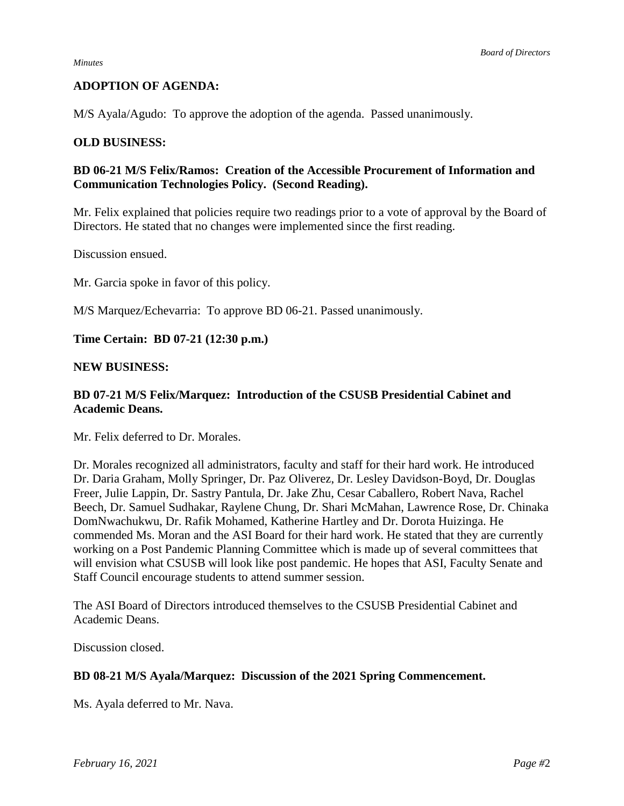### **ADOPTION OF AGENDA:**

M/S Ayala/Agudo: To approve the adoption of the agenda. Passed unanimously.

#### **OLD BUSINESS:**

## **BD 06-21 M/S Felix/Ramos: Creation of the Accessible Procurement of Information and Communication Technologies Policy. (Second Reading).**

Mr. Felix explained that policies require two readings prior to a vote of approval by the Board of Directors. He stated that no changes were implemented since the first reading.

Discussion ensued.

Mr. Garcia spoke in favor of this policy.

M/S Marquez/Echevarria: To approve BD 06-21. Passed unanimously.

#### **Time Certain: BD 07-21 (12:30 p.m.)**

#### **NEW BUSINESS:**

## **BD 07-21 M/S Felix/Marquez: Introduction of the CSUSB Presidential Cabinet and Academic Deans.**

Mr. Felix deferred to Dr. Morales.

Dr. Morales recognized all administrators, faculty and staff for their hard work. He introduced Dr. Daria Graham, Molly Springer, Dr. Paz Oliverez, Dr. Lesley Davidson-Boyd, Dr. Douglas Freer, Julie Lappin, Dr. Sastry Pantula, Dr. Jake Zhu, Cesar Caballero, Robert Nava, Rachel Beech, Dr. Samuel Sudhakar, Raylene Chung, Dr. Shari McMahan, Lawrence Rose, Dr. Chinaka DomNwachukwu, Dr. Rafik Mohamed, Katherine Hartley and Dr. Dorota Huizinga. He commended Ms. Moran and the ASI Board for their hard work. He stated that they are currently working on a Post Pandemic Planning Committee which is made up of several committees that will envision what CSUSB will look like post pandemic. He hopes that ASI, Faculty Senate and Staff Council encourage students to attend summer session.

The ASI Board of Directors introduced themselves to the CSUSB Presidential Cabinet and Academic Deans.

Discussion closed.

### **BD 08-21 M/S Ayala/Marquez: Discussion of the 2021 Spring Commencement.**

Ms. Ayala deferred to Mr. Nava.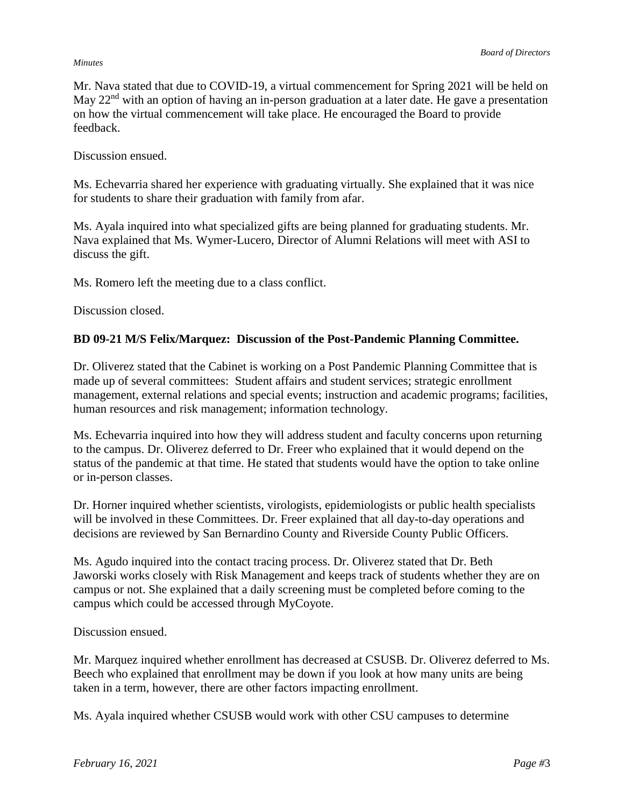#### *Minutes*

Mr. Nava stated that due to COVID-19, a virtual commencement for Spring 2021 will be held on May 22<sup>nd</sup> with an option of having an in-person graduation at a later date. He gave a presentation on how the virtual commencement will take place. He encouraged the Board to provide feedback.

Discussion ensued.

Ms. Echevarria shared her experience with graduating virtually. She explained that it was nice for students to share their graduation with family from afar.

Ms. Ayala inquired into what specialized gifts are being planned for graduating students. Mr. Nava explained that Ms. Wymer-Lucero, Director of Alumni Relations will meet with ASI to discuss the gift.

Ms. Romero left the meeting due to a class conflict.

Discussion closed.

### **BD 09-21 M/S Felix/Marquez: Discussion of the Post-Pandemic Planning Committee.**

Dr. Oliverez stated that the Cabinet is working on a Post Pandemic Planning Committee that is made up of several committees: Student affairs and student services; strategic enrollment management, external relations and special events; instruction and academic programs; facilities, human resources and risk management; information technology.

Ms. Echevarria inquired into how they will address student and faculty concerns upon returning to the campus. Dr. Oliverez deferred to Dr. Freer who explained that it would depend on the status of the pandemic at that time. He stated that students would have the option to take online or in-person classes.

Dr. Horner inquired whether scientists, virologists, epidemiologists or public health specialists will be involved in these Committees. Dr. Freer explained that all day-to-day operations and decisions are reviewed by San Bernardino County and Riverside County Public Officers.

Ms. Agudo inquired into the contact tracing process. Dr. Oliverez stated that Dr. Beth Jaworski works closely with Risk Management and keeps track of students whether they are on campus or not. She explained that a daily screening must be completed before coming to the campus which could be accessed through MyCoyote.

Discussion ensued.

Mr. Marquez inquired whether enrollment has decreased at CSUSB. Dr. Oliverez deferred to Ms. Beech who explained that enrollment may be down if you look at how many units are being taken in a term, however, there are other factors impacting enrollment.

Ms. Ayala inquired whether CSUSB would work with other CSU campuses to determine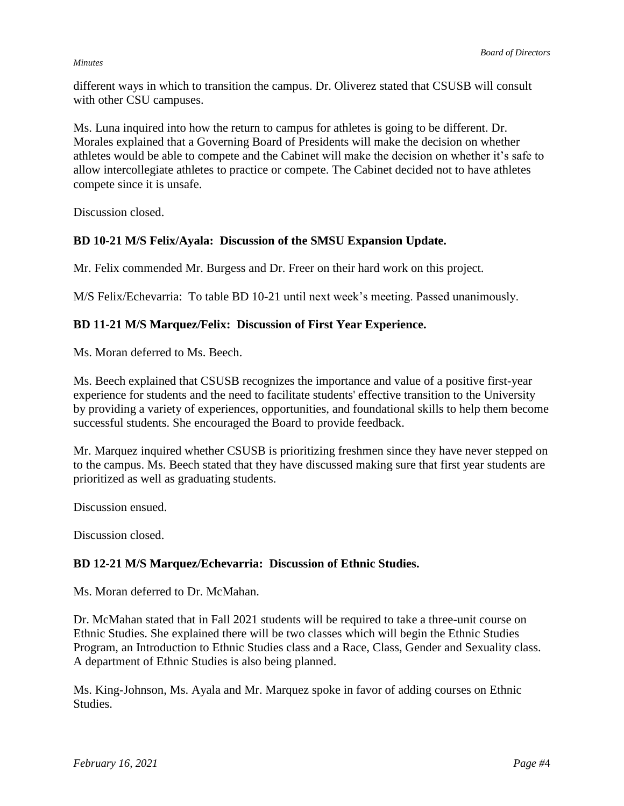#### *Minutes*

different ways in which to transition the campus. Dr. Oliverez stated that CSUSB will consult with other CSU campuses.

Ms. Luna inquired into how the return to campus for athletes is going to be different. Dr. Morales explained that a Governing Board of Presidents will make the decision on whether athletes would be able to compete and the Cabinet will make the decision on whether it's safe to allow intercollegiate athletes to practice or compete. The Cabinet decided not to have athletes compete since it is unsafe.

Discussion closed.

## **BD 10-21 M/S Felix/Ayala: Discussion of the SMSU Expansion Update.**

Mr. Felix commended Mr. Burgess and Dr. Freer on their hard work on this project.

M/S Felix/Echevarria: To table BD 10-21 until next week's meeting. Passed unanimously.

## **BD 11-21 M/S Marquez/Felix: Discussion of First Year Experience.**

Ms. Moran deferred to Ms. Beech.

Ms. Beech explained that CSUSB recognizes the importance and value of a positive first-year experience for students and the need to facilitate students' effective transition to the University by providing a variety of experiences, opportunities, and foundational skills to help them become successful students. She encouraged the Board to provide feedback.

Mr. Marquez inquired whether CSUSB is prioritizing freshmen since they have never stepped on to the campus. Ms. Beech stated that they have discussed making sure that first year students are prioritized as well as graduating students.

Discussion ensued.

Discussion closed.

### **BD 12-21 M/S Marquez/Echevarria: Discussion of Ethnic Studies.**

Ms. Moran deferred to Dr. McMahan.

Dr. McMahan stated that in Fall 2021 students will be required to take a three-unit course on Ethnic Studies. She explained there will be two classes which will begin the Ethnic Studies Program, an Introduction to Ethnic Studies class and a Race, Class, Gender and Sexuality class. A department of Ethnic Studies is also being planned.

Ms. King-Johnson, Ms. Ayala and Mr. Marquez spoke in favor of adding courses on Ethnic Studies.